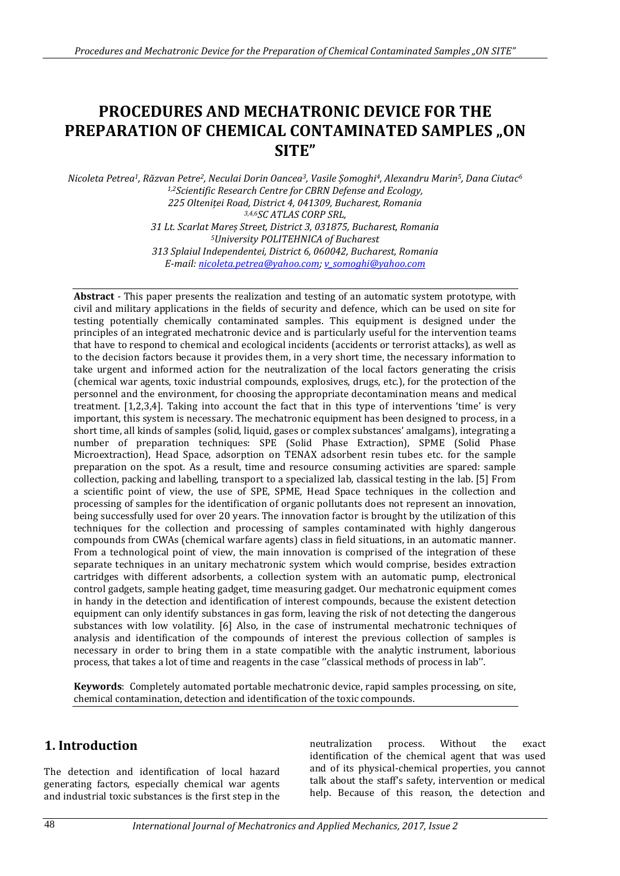# **PROCEDURES AND MECHATRONIC DEVICE FOR THE PREPARATION OF CHEMICAL CONTAMINATED SAMPLES .. ON SITE"**

*Nicoleta Petrea1, Răzvan Petre2, Neculai Dorin Oancea3, Vasile Șomoghi4, Alexandru Marin5, Dana Ciutac<sup>6</sup> 1,2Scientific Research Centre for CBRN Defense and Ecology, 225 Olteniței Road, District 4, 041309, Bucharest, Romania 3,4,6SC ATLAS CORP SRL, 31 Lt. Scarlat Mareș Street, District 3, 031875, Bucharest, Romania <sup>5</sup>University POLITEHNICA of Bucharest 313 Splaiul Independentei, District 6, 060042, Bucharest, Romania E-mail[: nicoleta.petrea@yahoo.com;](mailto:nicoleta.petrea@yahoo.com) [v\\_somoghi@yahoo.com](mailto:v_somoghi@yahoo.com)*

**Abstract** - This paper presents the realization and testing of an automatic system prototype, with civil and military applications in the fields of security and defence, which can be used on site for testing potentially chemically contaminated samples. This equipment is designed under the principles of an integrated mechatronic device and is particularly useful for the intervention teams that have to respond to chemical and ecological incidents (accidents or terrorist attacks), as well as to the decision factors because it provides them, in a very short time, the necessary information to take urgent and informed action for the neutralization of the local factors generating the crisis (chemical war agents, toxic industrial compounds, explosives, drugs, etc.), for the protection of the personnel and the environment, for choosing the appropriate decontamination means and medical treatment. [1,2,3,4]. Taking into account the fact that in this type of interventions 'time' is very important, this system is necessary. The mechatronic equipment has been designed to process, in a short time, all kinds of samples (solid, liquid, gases or complex substances' amalgams), integrating a number of preparation techniques: SPE (Solid Phase Extraction), SPME (Solid Phase Microextraction), Head Space, adsorption on TENAX adsorbent resin tubes etc. for the sample preparation on the spot. As a result, time and resource consuming activities are spared: sample collection, packing and labelling, transport to a specialized lab, classical testing in the lab. [5] From a scientific point of view, the use of SPE, SPME, Head Space techniques in the collection and processing of samples for the identification of organic pollutants does not represent an innovation, being successfully used for over 20 years. The innovation factor is brought by the utilization of this techniques for the collection and processing of samples contaminated with highly dangerous compounds from CWAs (chemical warfare agents) class in field situations, in an automatic manner. From a technological point of view, the main innovation is comprised of the integration of these separate techniques in an unitary mechatronic system which would comprise, besides extraction cartridges with different adsorbents, a collection system with an automatic pump, electronical control gadgets, sample heating gadget, time measuring gadget. Our mechatronic equipment comes in handy in the detection and identification of interest compounds, because the existent detection equipment can only identify substances in gas form, leaving the risk of not detecting the dangerous substances with low volatility. [6] Also, in the case of instrumental mechatronic techniques of analysis and identification of the compounds of interest the previous collection of samples is necessary in order to bring them in a state compatible with the analytic instrument, laborious process, that takes a lot of time and reagents in the case ''classical methods of process in lab''.

**Keywords**: Completely automated portable mechatronic device, rapid samples processing, on site, chemical contamination, detection and identification of the toxic compounds.

# **1. Introduction**

The detection and identification of local hazard generating factors, especially chemical war agents and industrial toxic substances is the first step in the

neutralization process. Without the exact identification of the chemical agent that was used and of its physical-chemical properties, you cannot talk about the staff's safety, intervention or medical help. Because of this reason, the detection and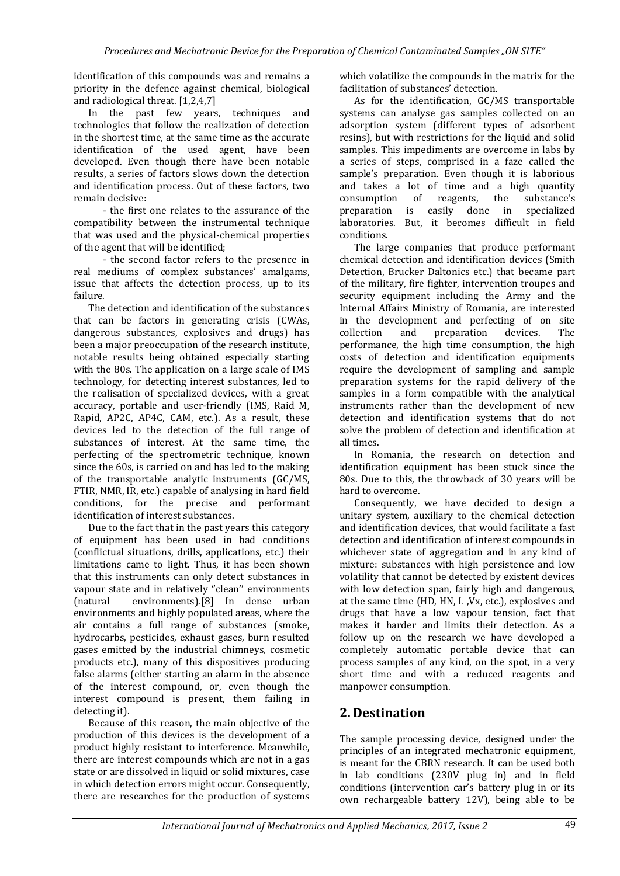identification of this compounds was and remains a priority in the defence against chemical, biological and radiological threat. [1,2,4,7]

In the past few years, techniques and technologies that follow the realization of detection in the shortest time, at the same time as the accurate identification of the used agent, have been developed. Even though there have been notable results, a series of factors slows down the detection and identification process. Out of these factors, two remain decisive:

- the first one relates to the assurance of the compatibility between the instrumental technique that was used and the physical-chemical properties of the agent that will be identified;

- the second factor refers to the presence in real mediums of complex substances' amalgams, issue that affects the detection process, up to its failure.

The detection and identification of the substances that can be factors in generating crisis (CWAs, dangerous substances, explosives and drugs) has been a major preoccupation of the research institute, notable results being obtained especially starting with the 80s. The application on a large scale of IMS technology, for detecting interest substances, led to the realisation of specialized devices, with a great accuracy, portable and user-friendly (IMS, Raid M, Rapid, AP2C, AP4C, CAM, etc.). As a result, these devices led to the detection of the full range of substances of interest. At the same time, the perfecting of the spectrometric technique, known since the 60s, is carried on and has led to the making of the transportable analytic instruments (GC/MS, FTIR, NMR, IR, etc.) capable of analysing in hard field conditions, for the precise and performant identification of interest substances.

Due to the fact that in the past years this category of equipment has been used in bad conditions (conflictual situations, drills, applications, etc.) their limitations came to light. Thus, it has been shown that this instruments can only detect substances in vapour state and in relatively "clean" environments (natural environments).[8] In dense urban environments and highly populated areas, where the air contains a full range of substances (smoke, hydrocarbs, pesticides, exhaust gases, burn resulted gases emitted by the industrial chimneys, cosmetic products etc.), many of this dispositives producing false alarms (either starting an alarm in the absence of the interest compound, or, even though the interest compound is present, them failing in detecting it).

Because of this reason, the main objective of the production of this devices is the development of a product highly resistant to interference. Meanwhile, there are interest compounds which are not in a gas state or are dissolved in liquid or solid mixtures, case in which detection errors might occur. Consequently, there are researches for the production of systems

which volatilize the compounds in the matrix for the facilitation of substances' detection.

As for the identification, GC/MS transportable systems can analyse gas samples collected on an adsorption system (different types of adsorbent resins), but with restrictions for the liquid and solid samples. This impediments are overcome in labs by a series of steps, comprised in a faze called the sample's preparation. Even though it is laborious and takes a lot of time and a high quantity consumption of reagents, the substance's preparation is easily done in specialized laboratories. But, it becomes difficult in field conditions.

The large companies that produce performant chemical detection and identification devices (Smith Detection, Brucker Daltonics etc.) that became part of the military, fire fighter, intervention troupes and security equipment including the Army and the Internal Affairs Ministry of Romania, are interested in the development and perfecting of on site collection and preparation devices. The performance, the high time consumption, the high costs of detection and identification equipments require the development of sampling and sample preparation systems for the rapid delivery of the samples in a form compatible with the analytical instruments rather than the development of new detection and identification systems that do not solve the problem of detection and identification at all times.

In Romania, the research on detection and identification equipment has been stuck since the 80s. Due to this, the throwback of 30 years will be hard to overcome.

Consequently, we have decided to design a unitary system, auxiliary to the chemical detection and identification devices, that would facilitate a fast detection and identification of interest compounds in whichever state of aggregation and in any kind of mixture: substances with high persistence and low volatility that cannot be detected by existent devices with low detection span, fairly high and dangerous, at the same time (HD, HN, L ,Vx, etc.), explosives and drugs that have a low vapour tension, fact that makes it harder and limits their detection. As a follow up on the research we have developed a completely automatic portable device that can process samples of any kind, on the spot, in a very short time and with a reduced reagents and manpower consumption.

# **2. Destination**

The sample processing device, designed under the principles of an integrated mechatronic equipment, is meant for the CBRN research. It can be used both in lab conditions (230V plug in) and in field conditions (intervention car's battery plug in or its own rechargeable battery 12V), being able to be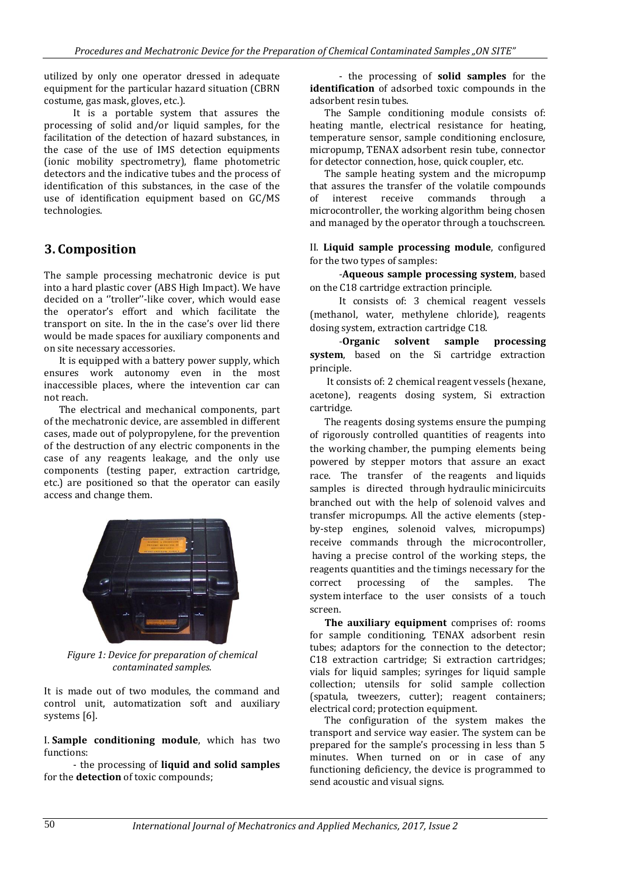utilized by only one operator dressed in adequate equipment for the particular hazard situation (CBRN costume, gas mask, gloves, etc.).

It is a portable system that assures the processing of solid and/or liquid samples, for the facilitation of the detection of hazard substances, in the case of the use of IMS detection equipments (ionic mobility spectrometry), flame photometric detectors and the indicative tubes and the process of identification of this substances, in the case of the use of identification equipment based on GC/MS technologies.

# **3. Composition**

The sample processing mechatronic device is put into a hard plastic cover (ABS High Impact). We have decided on a ''troller''-like cover, which would ease the operator's effort and which facilitate the transport on site. In the in the case's over lid there would be made spaces for auxiliary components and on site necessary accessories.

It is equipped with a battery power supply, which ensures work autonomy even in the most inaccessible places, where the intevention car can not reach.

The electrical and mechanical components, part of the mechatronic device, are assembled in different cases, made out of polypropylene, for the prevention of the destruction of any electric components in the case of any reagents leakage, and the only use components (testing paper, extraction cartridge, etc.) are positioned so that the operator can easily access and change them.



*Figure 1: Device for preparation of chemical contaminated samples.*

It is made out of two modules, the command and control unit, automatization soft and auxiliary systems [6].

I. **Sample conditioning module**, which has two functions:

- the processing of **liquid and solid samples** for the **detection** of toxic compounds;

- the processing of **solid samples** for the **identification** of adsorbed toxic compounds in the adsorbent resin tubes.

The Sample conditioning module consists of: heating mantle, electrical resistance for heating, temperature sensor, sample conditioning enclosure, micropump, TENAX adsorbent resin tube, connector for detector connection, hose, quick coupler, etc.

The sample heating system and the micropump that assures the transfer of the volatile compounds of interest receive commands through a microcontroller, the working algorithm being chosen and managed by the operator through a touchscreen.

II. **Liquid sample processing module**, configured for the two types of samples:

-**Aqueous sample processing system**, based on the C18 cartridge extraction principle.

It consists of: 3 chemical reagent vessels (methanol, water, methylene chloride), reagents dosing system, extraction cartridge C18.

-**Organic solvent sample processing system**, based on the Si cartridge extraction principle.

It consists of: 2 chemical reagent vessels (hexane, acetone), reagents dosing system, Si extraction cartridge.

The reagents dosing systems ensure the pumping of rigorously controlled quantities of reagents into the working chamber, the pumping elements being powered by stepper motors that assure an exact race. The transfer of the reagents and liquids samples is directed through hydraulic minicircuits branched out with the help of solenoid valves and transfer micropumps. All the active elements (stepby-step engines, solenoid valves, micropumps) receive commands through the microcontroller, having a precise control of the working steps, the reagents quantities and the timings necessary for the correct processing of the samples. The system interface to the user consists of a touch screen.

**The auxiliary equipment** comprises of: rooms for sample conditioning, TENAX adsorbent resin tubes; adaptors for the connection to the detector; C18 extraction cartridge; Si extraction cartridges; vials for liquid samples; syringes for liquid sample collection; utensils for solid sample collection (spatula, tweezers, cutter); reagent containers; electrical cord; protection equipment.

The configuration of the system makes the transport and service way easier. The system can be prepared for the sample's processing in less than 5 minutes. When turned on or in case of any functioning deficiency, the device is programmed to send acoustic and visual signs.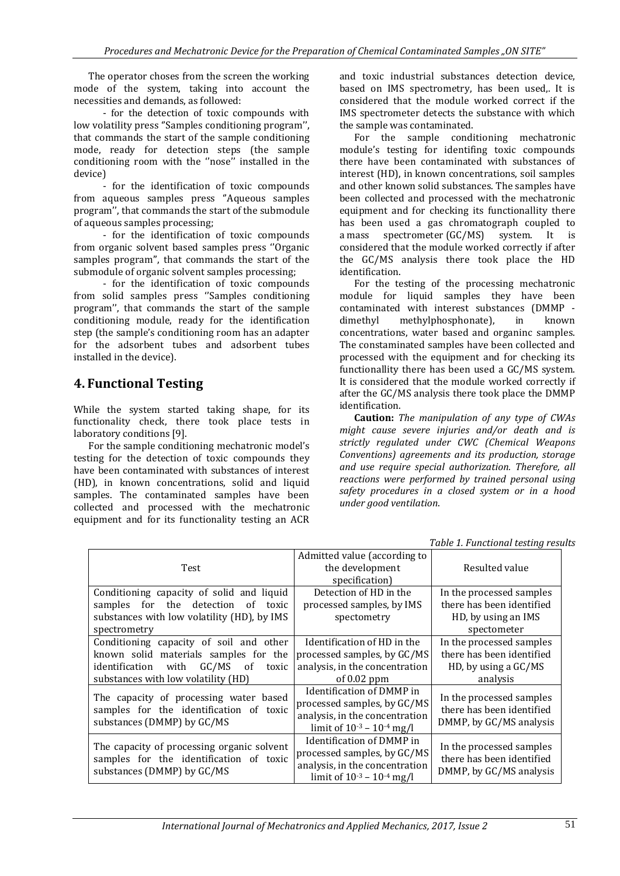The operator choses from the screen the working mode of the system, taking into account the necessities and demands, as followed:

- for the detection of toxic compounds with low volatility press ''Samples conditioning program'', that commands the start of the sample conditioning mode, ready for detection steps (the sample conditioning room with the "nose" installed in the device)

- for the identification of toxic compounds from aqueous samples press ''Aqueous samples program'', that commands the start of the submodule of aqueous samples processing;

- for the identification of toxic compounds from organic solvent based samples press ''Organic samples program'', that commands the start of the submodule of organic solvent samples processing;

- for the identification of toxic compounds from solid samples press ''Samples conditioning program'', that commands the start of the sample conditioning module, ready for the identification step (the sample's conditioning room has an adapter for the adsorbent tubes and adsorbent tubes installed in the device).

### **4. Functional Testing**

While the system started taking shape, for its functionality check, there took place tests in laboratory conditions [9].

For the sample conditioning mechatronic model's testing for the detection of toxic compounds they have been contaminated with substances of interest (HD), in known concentrations, solid and liquid samples. The contaminated samples have been collected and processed with the mechatronic equipment and for its functionality testing an ACR

and toxic industrial substances detection device, based on IMS spectrometry, has been used,. It is considered that the module worked correct if the IMS spectrometer detects the substance with which the sample was contaminated.

For the sample conditioning mechatronic module's testing for identifing toxic compounds there have been contaminated with substances of interest (HD), in known concentrations, soil samples and other known solid substances. The samples have been collected and processed with the mechatronic equipment and for checking its functionallity there has been used a gas chromatograph coupled to a mass spectrometer (GC/MS) system. It is considered that the module worked correctly if after the GC/MS analysis there took place the HD identification.

For the testing of the processing mechatronic module for liquid samples they have been contaminated with interest substances (DMMP dimethyl methylphosphonate), in known concentrations, water based and organinc samples. The constaminated samples have been collected and processed with the equipment and for checking its functionallity there has been used a GC/MS system. It is considered that the module worked correctly if after the GC/MS analysis there took place the DMMP identification.

**Caution:** *The manipulation of any type of CWAs might cause severe injuries and/or death and is strictly regulated under CWC (Chemical Weapons Conventions) agreements and its production, storage and use require special authorization. Therefore, all reactions were performed by trained personal using safety procedures in a closed system or in a hood under good ventilation*.

*Table 1. Functional testing results*

| Test                                                                                                                                                                              | Admitted value (according to<br>the development<br>specification)                                                                 | Resulted value                                                                              |
|-----------------------------------------------------------------------------------------------------------------------------------------------------------------------------------|-----------------------------------------------------------------------------------------------------------------------------------|---------------------------------------------------------------------------------------------|
| Conditioning capacity of solid and liquid<br>for the detection of<br>samples<br>toxic<br>substances with low volatility (HD), by IMS<br>spectrometry                              | Detection of HD in the<br>processed samples, by IMS<br>spectometry                                                                | In the processed samples<br>there has been identified<br>HD, by using an IMS<br>spectometer |
| Conditioning capacity of soil and other<br>known solid materials samples for the<br>identification with<br>GC/MS<br><sub>of</sub><br>toxic<br>substances with low volatility (HD) | Identification of HD in the<br>processed samples, by GC/MS<br>analysis, in the concentration<br>of $0.02$ ppm                     | In the processed samples<br>there has been identified<br>HD, by using a GC/MS<br>analysis   |
| The capacity of processing water based<br>samples for the identification of toxic<br>substances (DMMP) by GC/MS                                                                   | Identification of DMMP in<br>processed samples, by GC/MS<br>analysis, in the concentration<br>limit of $10^{-3}$ – $10^{-4}$ mg/l | In the processed samples<br>there has been identified<br>DMMP, by GC/MS analysis            |
| The capacity of processing organic solvent<br>samples for the identification of toxic<br>substances (DMMP) by GC/MS                                                               | Identification of DMMP in<br>processed samples, by GC/MS<br>analysis, in the concentration<br>limit of $10^{-3} - 10^{-4}$ mg/l   | In the processed samples<br>there has been identified<br>DMMP, by GC/MS analysis            |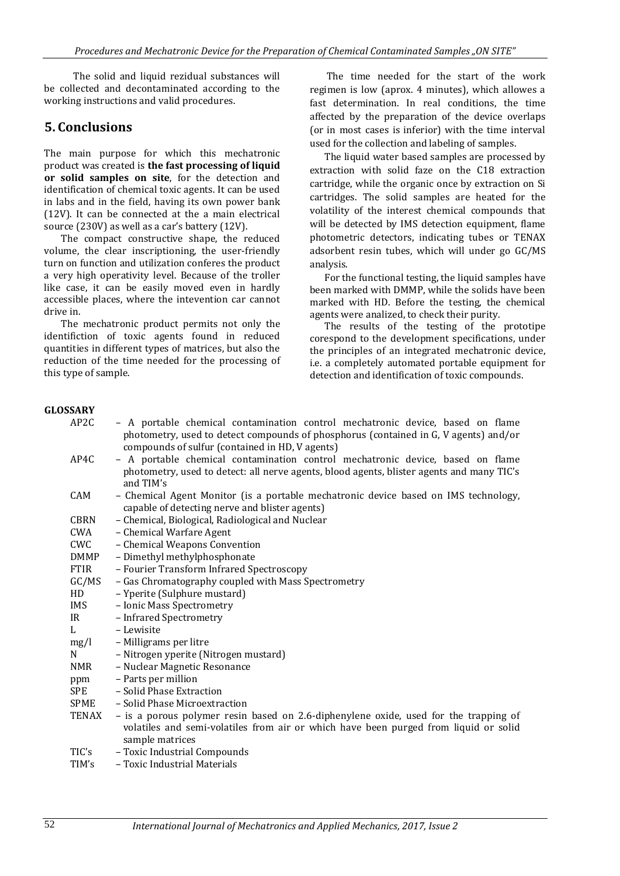The solid and liquid rezidual substances will be collected and decontaminated according to the working instructions and valid procedures.

### **5. Conclusions**

The main purpose for which this mechatronic product was created is **the fast processing of liquid or solid samples on site**, for the detection and identification of chemical toxic agents. It can be used in labs and in the field, having its own power bank (12V). It can be connected at the a main electrical source (230V) as well as a car's battery (12V).

The compact constructive shape, the reduced volume, the clear inscriptioning, the user-friendly turn on function and utilization conferes the product a very high operativity level. Because of the troller like case, it can be easily moved even in hardly accessible places, where the intevention car cannot drive in.

The mechatronic product permits not only the identifiction of toxic agents found in reduced quantities in different types of matrices, but also the reduction of the time needed for the processing of this type of sample.

The time needed for the start of the work regimen is low (aprox. 4 minutes), which allowes a fast determination. In real conditions, the time affected by the preparation of the device overlaps (or in most cases is inferior) with the time interval used for the collection and labeling of samples.

The liquid water based samples are processed by extraction with solid faze on the C18 extraction cartridge, while the organic once by extraction on Si cartridges. The solid samples are heated for the volatility of the interest chemical compounds that will be detected by IMS detection equipment, flame photometric detectors, indicating tubes or TENAX adsorbent resin tubes, which will under go GC/MS analysis.

For the functional testing, the liquid samples have been marked with DMMP, while the solids have been marked with HD. Before the testing, the chemical agents were analized, to check their purity.

The results of the testing of the prototipe corespond to the development specifications, under the principles of an integrated mechatronic device, i.e. a completely automated portable equipment for detection and identification of toxic compounds.

#### **GLOSSARY**

| APZU        | – A portable chemical contamination control mechatronic device, based on flame<br>photometry, used to detect compounds of phosphorus (contained in G, V agents) and/or |  |
|-------------|------------------------------------------------------------------------------------------------------------------------------------------------------------------------|--|
|             | compounds of sulfur (contained in HD, V agents)                                                                                                                        |  |
| AP4C        | - A portable chemical contamination control mechatronic device, based on flame                                                                                         |  |
|             | photometry, used to detect: all nerve agents, blood agents, blister agents and many TIC's                                                                              |  |
|             | and TIM's                                                                                                                                                              |  |
| CAM         | - Chemical Agent Monitor (is a portable mechatronic device based on IMS technology,                                                                                    |  |
|             | capable of detecting nerve and blister agents)                                                                                                                         |  |
| <b>CBRN</b> | - Chemical, Biological, Radiological and Nuclear                                                                                                                       |  |
| CWA         | - Chemical Warfare Agent                                                                                                                                               |  |
| <b>CWC</b>  | - Chemical Weapons Convention                                                                                                                                          |  |
| <b>DMMP</b> | - Dimethyl methylphosphonate                                                                                                                                           |  |
| <b>FTIR</b> | - Fourier Transform Infrared Spectroscopy                                                                                                                              |  |
| GC/MS       | - Gas Chromatography coupled with Mass Spectrometry                                                                                                                    |  |
| HD          | - Yperite (Sulphure mustard)                                                                                                                                           |  |
| IMS         | - Ionic Mass Spectrometry                                                                                                                                              |  |
| IR          | - Infrared Spectrometry                                                                                                                                                |  |
| L           | - Lewisite                                                                                                                                                             |  |
| mg/l        | - Milligrams per litre                                                                                                                                                 |  |
| N           | - Nitrogen yperite (Nitrogen mustard)                                                                                                                                  |  |
| <b>NMR</b>  | - Nuclear Magnetic Resonance                                                                                                                                           |  |
| ppm         | - Parts per million                                                                                                                                                    |  |
| SPE         | - Solid Phase Extraction                                                                                                                                               |  |
| SPME        | - Solid Phase Microextraction                                                                                                                                          |  |
| TENAX       | - is a porous polymer resin based on 2.6-diphenylene oxide, used for the trapping of                                                                                   |  |
|             | volatiles and semi-volatiles from air or which have been purged from liquid or solid                                                                                   |  |
|             | sample matrices                                                                                                                                                        |  |
| TIC's       | - Toxic Industrial Compounds                                                                                                                                           |  |
| TIM's       | – Toxic Industrial Materials                                                                                                                                           |  |

AP2C – A portable chemical contamination control mechatronic device, based on flame